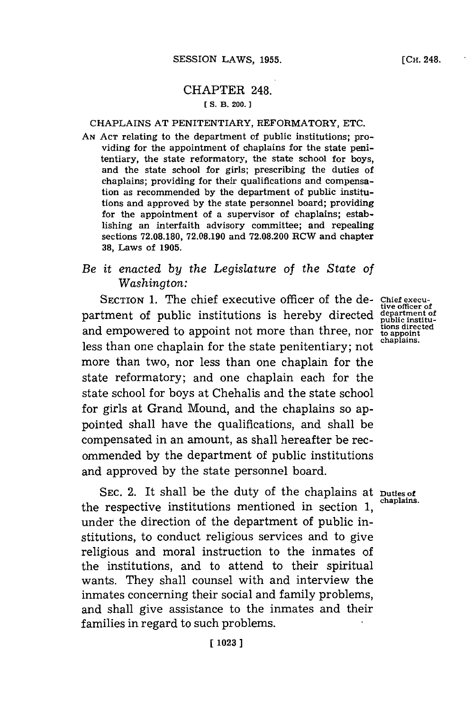## CHAPTER 248.

## **[ S. B. 200.]1**

## CHAPLAINS **AT** PENITENTIARY, REFORMATORY, **ETC.**

**AN ACT** relating to the department of public institutions; providing for the appointment of chaplains for the state penitentiary, the state reformatory, the state school for boys, and the state school for girls; prescribing the duties of chaplains; providing for their qualifications and compensation as recommended **by** the department of public institutions and approved **by** the state personnel board; providing for the appointment of a supervisor of chaplains; establishing an interfaith advisory committee; and repealing sections **72.08.180, 72.08.190** and **72.08.200** RCW and chapter **38,** Laws of **1905.**

## *Be it enacted by the Legislature* of *the State of Washington:*

SECTION 1. The chief executive officer of the de- Chief execu-<br> **the chief executions** is hereby directed department of partment of public institutions is hereby directed public institu-<br>and empowered to appoint not more than three, nor to appoint<br>the appoint and empowered to appoint not more than three, nor less than one chaplain for the state penitentiary; not more than two, nor less than one chaplain for the state reformatory; and one chaplain each for the state school **for** boys at Chehalis and the state school for girls at Grand Mound, and the chaplains so appointed shall have the qualifications, and shall be compensated in an amount, as shall hereafter be recommended **by** the department of public institutions and approved **by** the state personnel board.

SEC. 2. It shall be the duty of the chaplains at **Duties of**<br>chaplains. the respective institutions mentioned in section 1, under the direction of the department of public institutions, to conduct religious services and to give religious and moral instruction to the inmates of the institutions, and to attend to their spiritual wants. They shall counsel with and interview the inmates concerning their social and family problems, and shall give assistance to the inmates and their families in regard to such problems.